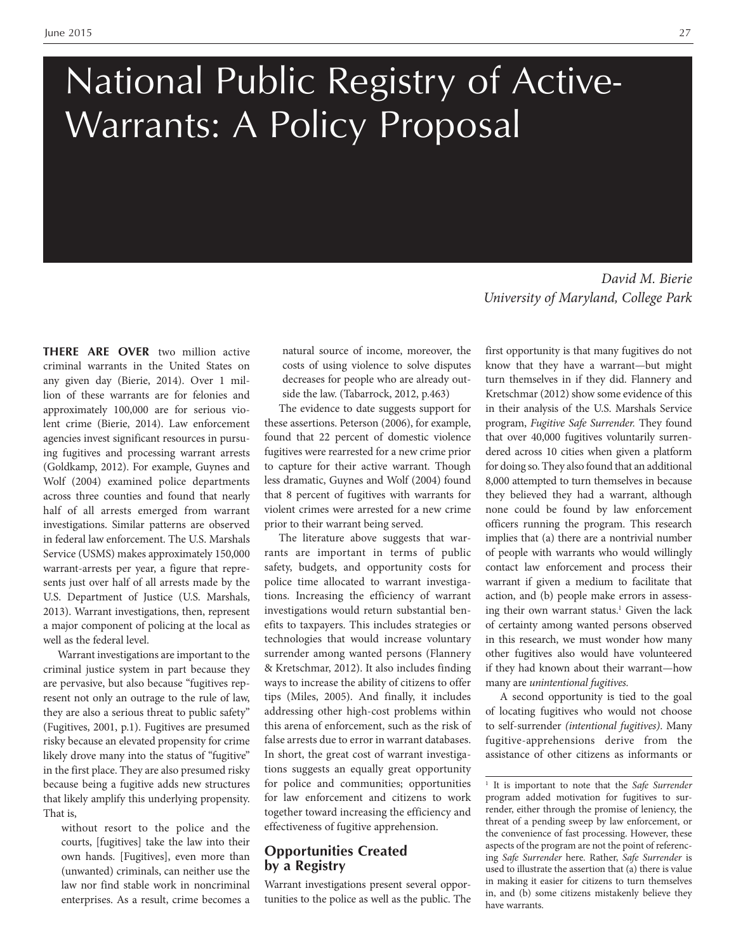# National Public Registry of Active-Warrants: A Policy Proposal

**THERE ARE OVER** two million active criminal warrants in the United States on any given day (Bierie, 2014). Over 1 million of these warrants are for felonies and approximately 100,000 are for serious violent crime (Bierie, 2014). Law enforcement agencies invest significant resources in pursuing fugitives and processing warrant arrests (Goldkamp, 2012). For example, Guynes and Wolf (2004) examined police departments across three counties and found that nearly half of all arrests emerged from warrant investigations. Similar patterns are observed in federal law enforcement. The U.S. Marshals Service (USMS) makes approximately 150,000 warrant-arrests per year, a figure that represents just over half of all arrests made by the U.S. Department of Justice (U.S. Marshals, 2013). Warrant investigations, then, represent a major component of policing at the local as well as the federal level.

Warrant investigations are important to the criminal justice system in part because they are pervasive, but also because "fugitives represent not only an outrage to the rule of law, they are also a serious threat to public safety" (Fugitives, 2001, p.1). Fugitives are presumed risky because an elevated propensity for crime likely drove many into the status of "fugitive" in the first place. They are also presumed risky because being a fugitive adds new structures that likely amplify this underlying propensity. That is,

without resort to the police and the courts, [fugitives] take the law into their own hands. [Fugitives], even more than (unwanted) criminals, can neither use the law nor find stable work in noncriminal enterprises. As a result, crime becomes a

natural source of income, moreover, the costs of using violence to solve disputes decreases for people who are already outside the law. (Tabarrock, 2012, p.463)

The evidence to date suggests support for these assertions. Peterson (2006), for example, found that 22 percent of domestic violence fugitives were rearrested for a new crime prior to capture for their active warrant. Though less dramatic, Guynes and Wolf (2004) found that 8 percent of fugitives with warrants for violent crimes were arrested for a new crime prior to their warrant being served.

The literature above suggests that warrants are important in terms of public safety, budgets, and opportunity costs for police time allocated to warrant investigations. Increasing the efficiency of warrant investigations would return substantial benefits to taxpayers. This includes strategies or technologies that would increase voluntary surrender among wanted persons (Flannery & Kretschmar, 2012). It also includes finding ways to increase the ability of citizens to offer tips (Miles, 2005). And finally, it includes addressing other high-cost problems within this arena of enforcement, such as the risk of false arrests due to error in warrant databases. In short, the great cost of warrant investigations suggests an equally great opportunity for police and communities; opportunities for law enforcement and citizens to work together toward increasing the efficiency and effectiveness of fugitive apprehension.

#### **Opportunities Created by a Registry**

Warrant investigations present several opportunities to the police as well as the public. The

*David M. Bierie University of Maryland, College Park*

first opportunity is that many fugitives do not know that they have a warrant—but might turn themselves in if they did. Flannery and Kretschmar (2012) show some evidence of this in their analysis of the U.S. Marshals Service program, *Fugitive Safe Surrender.* They found that over 40,000 fugitives voluntarily surrendered across 10 cities when given a platform for doing so. They also found that an additional 8,000 attempted to turn themselves in because they believed they had a warrant, although none could be found by law enforcement officers running the program. This research implies that (a) there are a nontrivial number of people with warrants who would willingly contact law enforcement and process their warrant if given a medium to facilitate that action, and (b) people make errors in assessing their own warrant status.<sup>1</sup> Given the lack of certainty among wanted persons observed in this research, we must wonder how many other fugitives also would have volunteered if they had known about their warrant—how many are *unintentional fugitives.*

A second opportunity is tied to the goal of locating fugitives who would not choose to self-surrender *(intentional fugitives)*. Many fugitive-apprehensions derive from the assistance of other citizens as informants or

<sup>1</sup> It is important to note that the *Safe Surrender* program added motivation for fugitives to surrender, either through the promise of leniency, the threat of a pending sweep by law enforcement, or the convenience of fast processing. However, these aspects of the program are not the point of referencing *Safe Surrender* here. Rather, *Safe Surrender* is used to illustrate the assertion that (a) there is value in making it easier for citizens to turn themselves in, and (b) some citizens mistakenly believe they have warrants.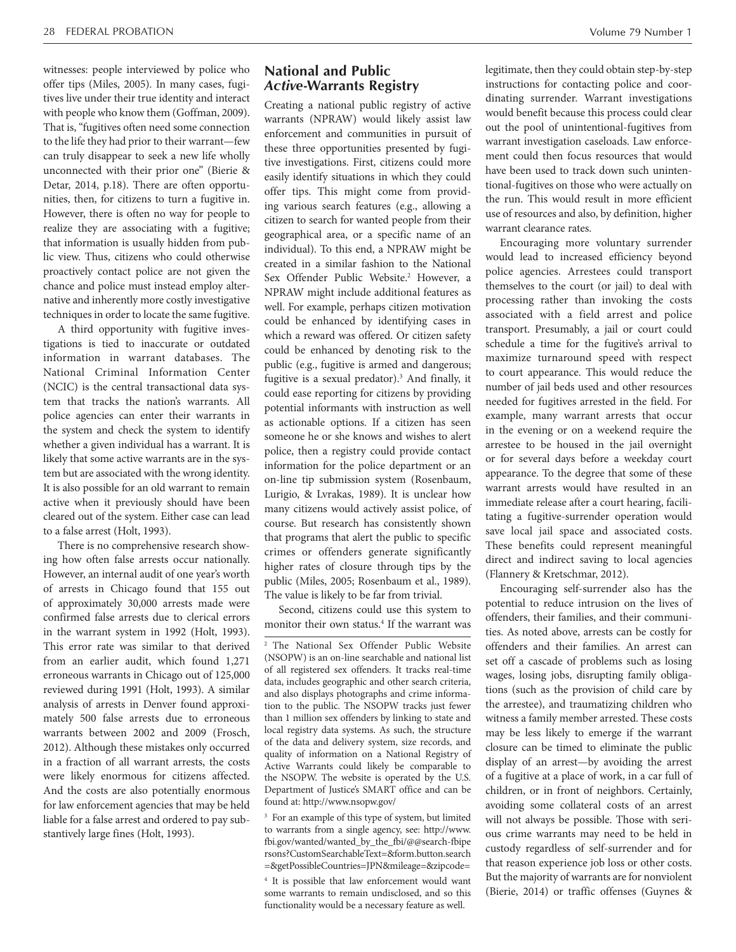witnesses: people interviewed by police who offer tips (Miles, 2005). In many cases, fugitives live under their true identity and interact with people who know them (Goffman, 2009). That is, "fugitives often need some connection to the life they had prior to their warrant—few can truly disappear to seek a new life wholly unconnected with their prior one" (Bierie & Detar, 2014, p.18). There are often opportunities, then, for citizens to turn a fugitive in. However, there is often no way for people to realize they are associating with a fugitive; that information is usually hidden from public view. Thus, citizens who could otherwise proactively contact police are not given the chance and police must instead employ alternative and inherently more costly investigative techniques in order to locate the same fugitive.

A third opportunity with fugitive investigations is tied to inaccurate or outdated information in warrant databases. The National Criminal Information Center (NCIC) is the central transactional data system that tracks the nation's warrants. All police agencies can enter their warrants in the system and check the system to identify whether a given individual has a warrant. It is likely that some active warrants are in the system but are associated with the wrong identity. It is also possible for an old warrant to remain active when it previously should have been cleared out of the system. Either case can lead to a false arrest (Holt, 1993).

There is no comprehensive research showing how often false arrests occur nationally. However, an internal audit of one year's worth of arrests in Chicago found that 155 out of approximately 30,000 arrests made were confirmed false arrests due to clerical errors in the warrant system in 1992 (Holt, 1993). This error rate was similar to that derived from an earlier audit, which found 1,271 erroneous warrants in Chicago out of 125,000 reviewed during 1991 (Holt, 1993). A similar analysis of arrests in Denver found approximately 500 false arrests due to erroneous warrants between 2002 and 2009 (Frosch, 2012). Although these mistakes only occurred in a fraction of all warrant arrests, the costs were likely enormous for citizens affected. And the costs are also potentially enormous for law enforcement agencies that may be held liable for a false arrest and ordered to pay substantively large fines (Holt, 1993).

## **National and Public**  *Active-***Warrants Registry**

Creating a national public registry of active warrants (NPRAW) would likely assist law enforcement and communities in pursuit of these three opportunities presented by fugitive investigations. First, citizens could more easily identify situations in which they could offer tips. This might come from providing various search features (e.g., allowing a citizen to search for wanted people from their geographical area, or a specific name of an individual). To this end, a NPRAW might be created in a similar fashion to the National Sex Offender Public Website.<sup>2</sup> However, a NPRAW might include additional features as well. For example, perhaps citizen motivation could be enhanced by identifying cases in which a reward was offered. Or citizen safety could be enhanced by denoting risk to the public (e.g., fugitive is armed and dangerous; fugitive is a sexual predator).<sup>3</sup> And finally, it could ease reporting for citizens by providing potential informants with instruction as well as actionable options. If a citizen has seen someone he or she knows and wishes to alert police, then a registry could provide contact information for the police department or an on-line tip submission system (Rosenbaum, Lurigio, & Lvrakas, 1989). It is unclear how many citizens would actively assist police, of course. But research has consistently shown that programs that alert the public to specific crimes or offenders generate significantly higher rates of closure through tips by the public (Miles, 2005; Rosenbaum et al., 1989). The value is likely to be far from trivial.

Second, citizens could use this system to monitor their own status.<sup>4</sup> If the warrant was

3 For an example of this type of system, but limited to warrants from a single agency, see: http://www. fbi.gov/wanted/wanted\_by\_the\_fbi/@@search-fbipe rsons?CustomSearchableText=&form.button.search =&getPossibleCountries=JPN&mileage=&zipcode=

4 It is possible that law enforcement would want some warrants to remain undisclosed, and so this functionality would be a necessary feature as well.

legitimate, then they could obtain step-by-step instructions for contacting police and coordinating surrender. Warrant investigations would benefit because this process could clear out the pool of unintentional-fugitives from warrant investigation caseloads. Law enforcement could then focus resources that would have been used to track down such unintentional-fugitives on those who were actually on the run. This would result in more efficient use of resources and also, by definition, higher warrant clearance rates.

Encouraging more voluntary surrender would lead to increased efficiency beyond police agencies. Arrestees could transport themselves to the court (or jail) to deal with processing rather than invoking the costs associated with a field arrest and police transport. Presumably, a jail or court could schedule a time for the fugitive's arrival to maximize turnaround speed with respect to court appearance. This would reduce the number of jail beds used and other resources needed for fugitives arrested in the field. For example, many warrant arrests that occur in the evening or on a weekend require the arrestee to be housed in the jail overnight or for several days before a weekday court appearance. To the degree that some of these warrant arrests would have resulted in an immediate release after a court hearing, facilitating a fugitive-surrender operation would save local jail space and associated costs. These benefits could represent meaningful direct and indirect saving to local agencies (Flannery & Kretschmar, 2012).

Encouraging self-surrender also has the potential to reduce intrusion on the lives of offenders, their families, and their communities. As noted above, arrests can be costly for offenders and their families. An arrest can set off a cascade of problems such as losing wages, losing jobs, disrupting family obligations (such as the provision of child care by the arrestee), and traumatizing children who witness a family member arrested. These costs may be less likely to emerge if the warrant closure can be timed to eliminate the public display of an arrest—by avoiding the arrest of a fugitive at a place of work, in a car full of children, or in front of neighbors. Certainly, avoiding some collateral costs of an arrest will not always be possible. Those with serious crime warrants may need to be held in custody regardless of self-surrender and for that reason experience job loss or other costs. But the majority of warrants are for nonviolent (Bierie, 2014) or traffic offenses (Guynes &

<sup>2</sup> The National Sex Offender Public Website (NSOPW) is an on-line searchable and national list of all registered sex offenders. It tracks real-time data, includes geographic and other search criteria, and also displays photographs and crime information to the public. The NSOPW tracks just fewer than 1 million sex offenders by linking to state and local registry data systems. As such, the structure of the data and delivery system, size records, and quality of information on a National Registry of Active Warrants could likely be comparable to the NSOPW. The website is operated by the U.S. Department of Justice's SMART office and can be found at: http://www.nsopw.gov/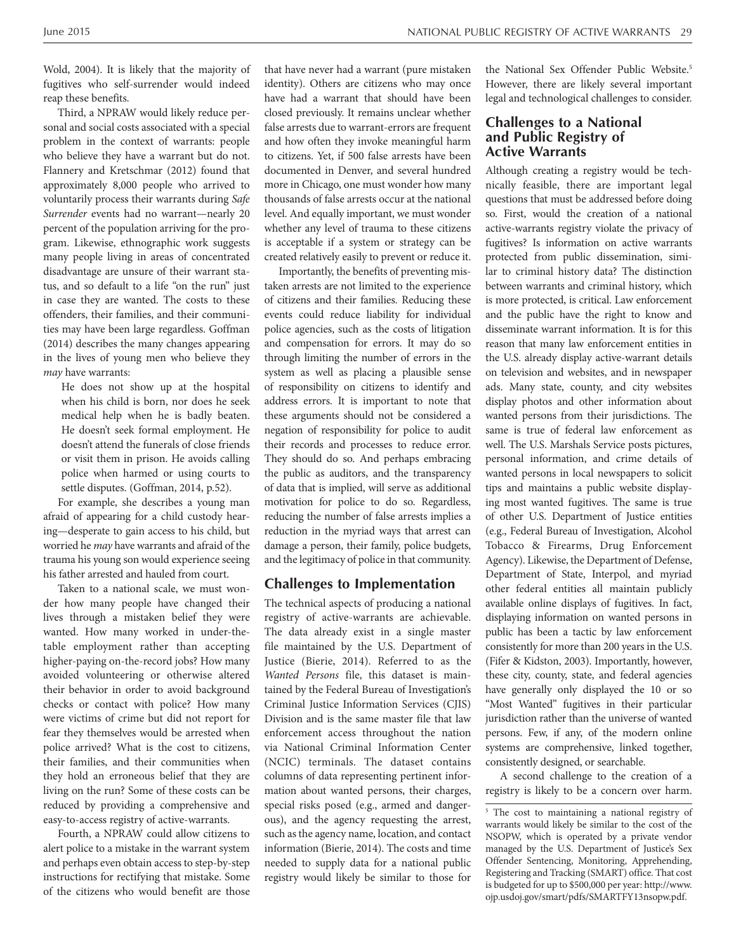Wold, 2004). It is likely that the majority of fugitives who self-surrender would indeed reap these benefits.

Third, a NPRAW would likely reduce personal and social costs associated with a special problem in the context of warrants: people who believe they have a warrant but do not. Flannery and Kretschmar (2012) found that approximately 8,000 people who arrived to voluntarily process their warrants during *Safe Surrender* events had no warrant—nearly 20 percent of the population arriving for the program. Likewise, ethnographic work suggests many people living in areas of concentrated disadvantage are unsure of their warrant status, and so default to a life "on the run" just in case they are wanted. The costs to these offenders, their families, and their communities may have been large regardless. Goffman (2014) describes the many changes appearing in the lives of young men who believe they *may* have warrants:

He does not show up at the hospital when his child is born, nor does he seek medical help when he is badly beaten. He doesn't seek formal employment. He doesn't attend the funerals of close friends or visit them in prison. He avoids calling police when harmed or using courts to settle disputes. (Goffman, 2014, p.52).

For example, she describes a young man afraid of appearing for a child custody hearing—desperate to gain access to his child, but worried he *may* have warrants and afraid of the trauma his young son would experience seeing his father arrested and hauled from court.

Taken to a national scale, we must wonder how many people have changed their lives through a mistaken belief they were wanted. How many worked in under-thetable employment rather than accepting higher-paying on-the-record jobs? How many avoided volunteering or otherwise altered their behavior in order to avoid background checks or contact with police? How many were victims of crime but did not report for fear they themselves would be arrested when police arrived? What is the cost to citizens, their families, and their communities when they hold an erroneous belief that they are living on the run? Some of these costs can be reduced by providing a comprehensive and easy-to-access registry of active-warrants.

Fourth, a NPRAW could allow citizens to alert police to a mistake in the warrant system and perhaps even obtain access to step-by-step instructions for rectifying that mistake. Some of the citizens who would benefit are those that have never had a warrant (pure mistaken identity). Others are citizens who may once have had a warrant that should have been closed previously. It remains unclear whether false arrests due to warrant-errors are frequent and how often they invoke meaningful harm to citizens. Yet, if 500 false arrests have been documented in Denver, and several hundred more in Chicago, one must wonder how many thousands of false arrests occur at the national level. And equally important, we must wonder whether any level of trauma to these citizens is acceptable if a system or strategy can be created relatively easily to prevent or reduce it.

Importantly, the benefits of preventing mistaken arrests are not limited to the experience of citizens and their families. Reducing these events could reduce liability for individual police agencies, such as the costs of litigation and compensation for errors. It may do so through limiting the number of errors in the system as well as placing a plausible sense of responsibility on citizens to identify and address errors. It is important to note that these arguments should not be considered a negation of responsibility for police to audit their records and processes to reduce error. They should do so. And perhaps embracing the public as auditors, and the transparency of data that is implied, will serve as additional motivation for police to do so. Regardless, reducing the number of false arrests implies a reduction in the myriad ways that arrest can damage a person, their family, police budgets, and the legitimacy of police in that community.

#### **Challenges to Implementation**

The technical aspects of producing a national registry of active-warrants are achievable. The data already exist in a single master file maintained by the U.S. Department of Justice (Bierie, 2014). Referred to as the *Wanted Persons* file, this dataset is maintained by the Federal Bureau of Investigation's Criminal Justice Information Services (CJIS) Division and is the same master file that law enforcement access throughout the nation via National Criminal Information Center (NCIC) terminals. The dataset contains columns of data representing pertinent information about wanted persons, their charges, special risks posed (e.g., armed and dangerous), and the agency requesting the arrest, such as the agency name, location, and contact information (Bierie, 2014). The costs and time needed to supply data for a national public registry would likely be similar to those for

the National Sex Offender Public Website.<sup>5</sup> However, there are likely several important legal and technological challenges to consider.

### **Challenges to a National and Public Registry of Active Warrants**

Although creating a registry would be technically feasible, there are important legal questions that must be addressed before doing so. First, would the creation of a national active-warrants registry violate the privacy of fugitives? Is information on active warrants protected from public dissemination, similar to criminal history data? The distinction between warrants and criminal history, which is more protected, is critical. Law enforcement and the public have the right to know and disseminate warrant information. It is for this reason that many law enforcement entities in the U.S. already display active-warrant details on television and websites, and in newspaper ads. Many state, county, and city websites display photos and other information about wanted persons from their jurisdictions. The same is true of federal law enforcement as well. The U.S. Marshals Service posts pictures, personal information, and crime details of wanted persons in local newspapers to solicit tips and maintains a public website displaying most wanted fugitives. The same is true of other U.S. Department of Justice entities (e.g., Federal Bureau of Investigation, Alcohol Tobacco & Firearms, Drug Enforcement Agency). Likewise, the Department of Defense, Department of State, Interpol, and myriad other federal entities all maintain publicly available online displays of fugitives. In fact, displaying information on wanted persons in public has been a tactic by law enforcement consistently for more than 200 years in the U.S. (Fifer & Kidston, 2003). Importantly, however, these city, county, state, and federal agencies have generally only displayed the 10 or so "Most Wanted" fugitives in their particular jurisdiction rather than the universe of wanted persons. Few, if any, of the modern online systems are comprehensive, linked together, consistently designed, or searchable.

A second challenge to the creation of a registry is likely to be a concern over harm.

<sup>&</sup>lt;sup>5</sup> The cost to maintaining a national registry of warrants would likely be similar to the cost of the NSOPW, which is operated by a private vendor managed by the U.S. Department of Justice's Sex Offender Sentencing, Monitoring, Apprehending, Registering and Tracking (SMART) office. That cost is budgeted for up to \$500,000 per year: http://www. ojp.usdoj.gov/smart/pdfs/SMARTFY13nsopw.pdf.